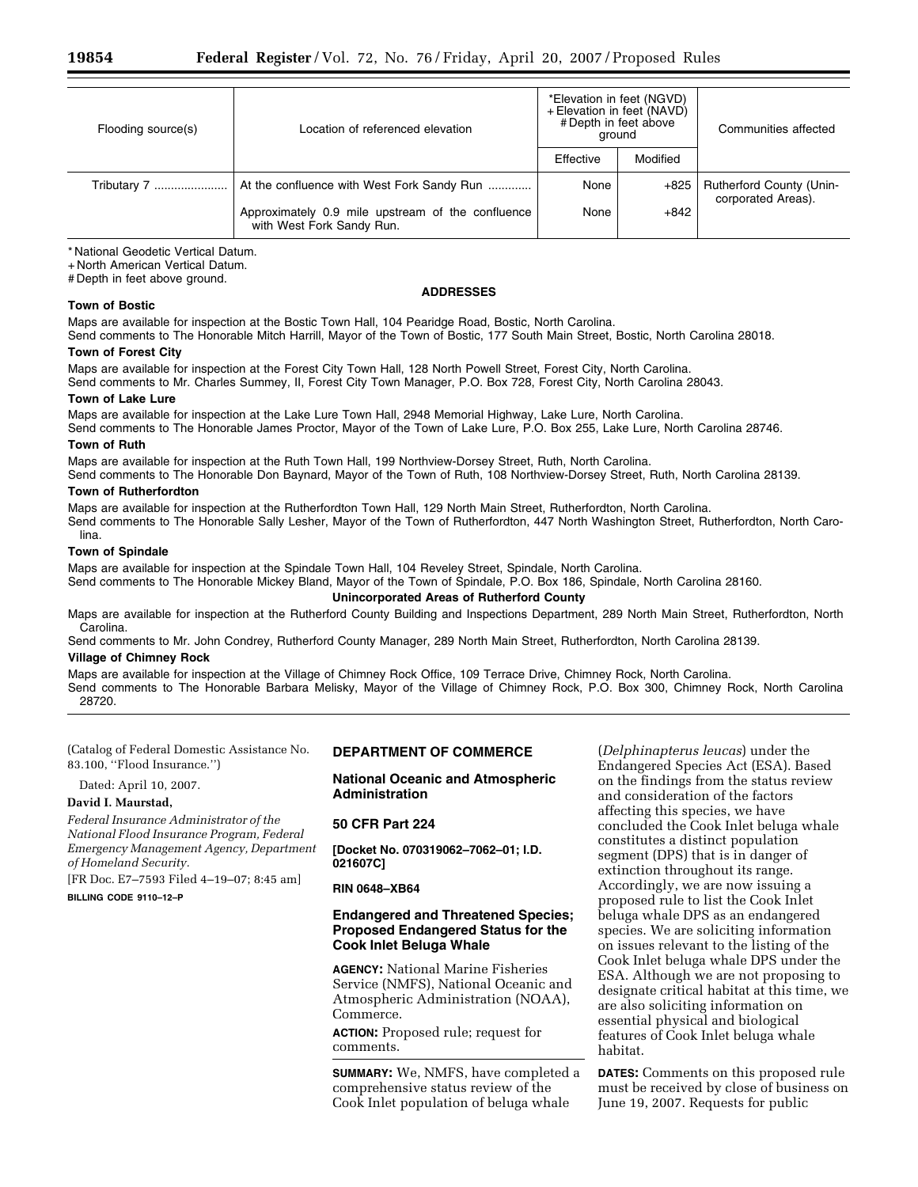| Flooding source(s) | Location of referenced elevation                                               | *Elevation in feet (NGVD)<br>+ Elevation in feet (NAVD)<br># Depth in feet above<br>around |          | Communities affected            |
|--------------------|--------------------------------------------------------------------------------|--------------------------------------------------------------------------------------------|----------|---------------------------------|
|                    |                                                                                | Effective                                                                                  | Modified |                                 |
| Tributary 7        | At the confluence with West Fork Sandy Run                                     | None                                                                                       | $+825$   | <b>Rutherford County (Unin-</b> |
|                    | Approximately 0.9 mile upstream of the confluence<br>with West Fork Sandy Run. | None                                                                                       | $+842$   | corporated Areas).              |

\* National Geodetic Vertical Datum.

+ North American Vertical Datum.

# Depth in feet above ground.

## **Town of Bostic**

## **ADDRESSES**

Maps are available for inspection at the Bostic Town Hall, 104 Pearidge Road, Bostic, North Carolina.

Send comments to The Honorable Mitch Harrill, Mayor of the Town of Bostic, 177 South Main Street, Bostic, North Carolina 28018. **Town of Forest City** 

Maps are available for inspection at the Forest City Town Hall, 128 North Powell Street, Forest City, North Carolina.

Send comments to Mr. Charles Summey, II, Forest City Town Manager, P.O. Box 728, Forest City, North Carolina 28043.

## **Town of Lake Lure**

Maps are available for inspection at the Lake Lure Town Hall, 2948 Memorial Highway, Lake Lure, North Carolina.

Send comments to The Honorable James Proctor, Mayor of the Town of Lake Lure, P.O. Box 255, Lake Lure, North Carolina 28746. **Town of Ruth** 

Maps are available for inspection at the Ruth Town Hall, 199 Northview-Dorsey Street, Ruth, North Carolina.

Send comments to The Honorable Don Baynard, Mayor of the Town of Ruth, 108 Northview-Dorsey Street, Ruth, North Carolina 28139.

# **Town of Rutherfordton**

Maps are available for inspection at the Rutherfordton Town Hall, 129 North Main Street, Rutherfordton, North Carolina. Send comments to The Honorable Sally Lesher, Mayor of the Town of Rutherfordton, 447 North Washington Street, Rutherfordton, North Carolina.

## **Town of Spindale**

Maps are available for inspection at the Spindale Town Hall, 104 Reveley Street, Spindale, North Carolina.

Send comments to The Honorable Mickey Bland, Mayor of the Town of Spindale, P.O. Box 186, Spindale, North Carolina 28160.

# **Unincorporated Areas of Rutherford County**

Maps are available for inspection at the Rutherford County Building and Inspections Department, 289 North Main Street, Rutherfordton, North Carolina.

Send comments to Mr. John Condrey, Rutherford County Manager, 289 North Main Street, Rutherfordton, North Carolina 28139.

# **Village of Chimney Rock**

Maps are available for inspection at the Village of Chimney Rock Office, 109 Terrace Drive, Chimney Rock, North Carolina. Send comments to The Honorable Barbara Melisky, Mayor of the Village of Chimney Rock, P.O. Box 300, Chimney Rock, North Carolina 28720.

(Catalog of Federal Domestic Assistance No. 83.100, ''Flood Insurance.'')

Dated: April 10, 2007.

# **David I. Maurstad,**

*Federal Insurance Administrator of the National Flood Insurance Program, Federal Emergency Management Agency, Department of Homeland Security.* 

[FR Doc. E7–7593 Filed 4–19–07; 8:45 am]

# **BILLING CODE 9110–12–P**

# **DEPARTMENT OF COMMERCE**

**National Oceanic and Atmospheric Administration** 

# **50 CFR Part 224**

**[Docket No. 070319062–7062–01; I.D. 021607C]** 

# **RIN 0648–XB64**

# **Endangered and Threatened Species; Proposed Endangered Status for the Cook Inlet Beluga Whale**

**AGENCY:** National Marine Fisheries Service (NMFS), National Oceanic and Atmospheric Administration (NOAA), Commerce.

**ACTION:** Proposed rule; request for comments.

**SUMMARY:** We, NMFS, have completed a comprehensive status review of the Cook Inlet population of beluga whale

(*Delphinapterus leucas*) under the Endangered Species Act (ESA). Based on the findings from the status review and consideration of the factors affecting this species, we have concluded the Cook Inlet beluga whale constitutes a distinct population segment (DPS) that is in danger of extinction throughout its range. Accordingly, we are now issuing a proposed rule to list the Cook Inlet beluga whale DPS as an endangered species. We are soliciting information on issues relevant to the listing of the Cook Inlet beluga whale DPS under the ESA. Although we are not proposing to designate critical habitat at this time, we are also soliciting information on essential physical and biological features of Cook Inlet beluga whale habitat.

**DATES:** Comments on this proposed rule must be received by close of business on June 19, 2007. Requests for public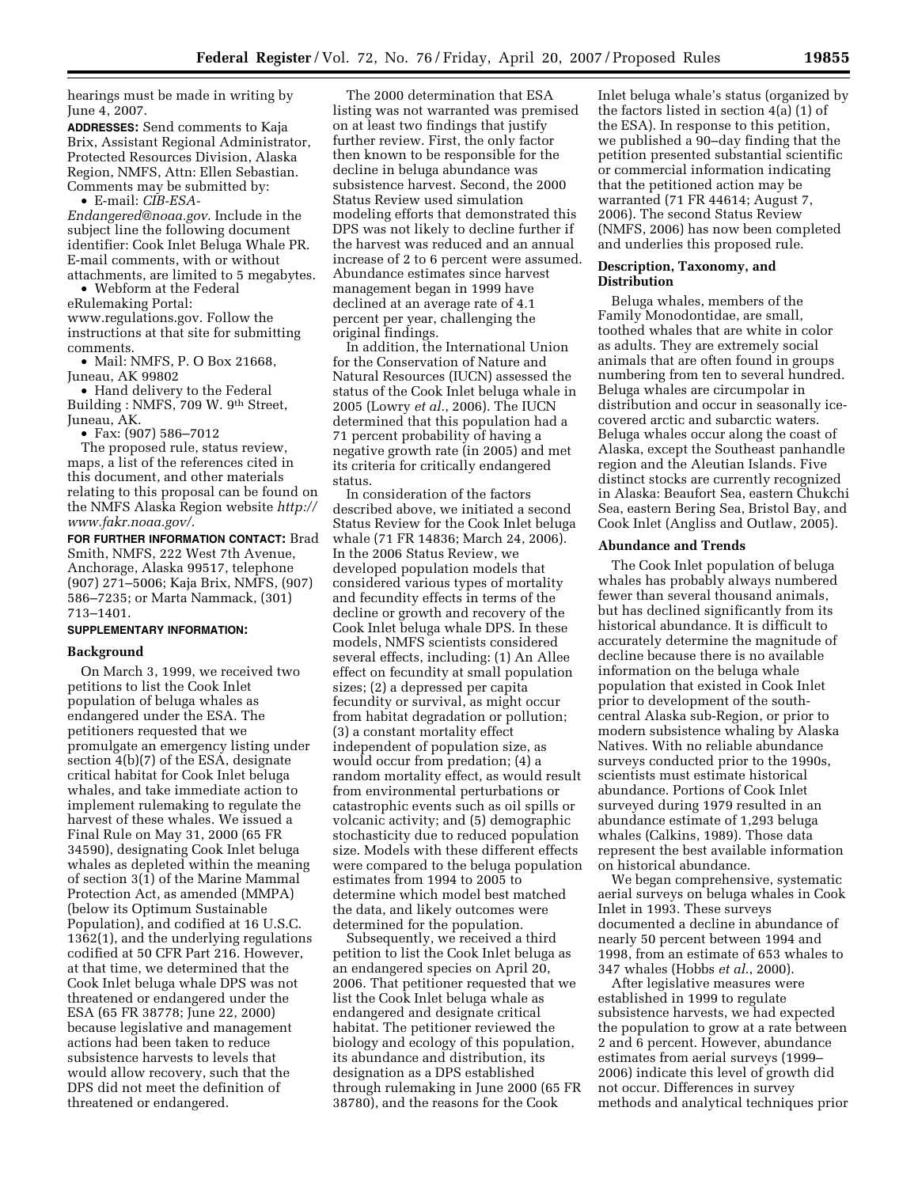hearings must be made in writing by June 4, 2007.

**ADDRESSES:** Send comments to Kaja Brix, Assistant Regional Administrator, Protected Resources Division, Alaska Region, NMFS, Attn: Ellen Sebastian. Comments may be submitted by:

• E-mail: *CIB-ESA-*

*[Endangered@noaa.gov](mailto:CIB-ESA-Endangered@noaa.gov)*. Include in the subject line the following document identifier: Cook Inlet Beluga Whale PR. E-mail comments, with or without attachments, are limited to 5 megabytes.

• Webform at the Federal eRulemaking Portal: [www.regulations.gov.](http://www.regulations.gov) Follow the instructions at that site for submitting comments.

• Mail: NMFS, P. O Box 21668, Juneau, AK 99802

• Hand delivery to the Federal Building : NMFS, 709 W. 9th Street, Juneau, AK.

• Fax: (907) 586–7012

The proposed rule, status review, maps, a list of the references cited in this document, and other materials relating to this proposal can be found on [the NMFS Alaska Region website](http://www.fakr.noaa.gov) *http:// www.fakr.noaa.gov/*.

**FOR FURTHER INFORMATION CONTACT:** Brad Smith, NMFS, 222 West 7th Avenue, Anchorage, Alaska 99517, telephone (907) 271–5006; Kaja Brix, NMFS, (907) 586–7235; or Marta Nammack, (301) 713–1401.

#### **SUPPLEMENTARY INFORMATION:**

#### **Background**

On March 3, 1999, we received two petitions to list the Cook Inlet population of beluga whales as endangered under the ESA. The petitioners requested that we promulgate an emergency listing under section 4(b)(7) of the ESA, designate critical habitat for Cook Inlet beluga whales, and take immediate action to implement rulemaking to regulate the harvest of these whales. We issued a Final Rule on May 31, 2000 (65 FR 34590), designating Cook Inlet beluga whales as depleted within the meaning of section 3(1) of the Marine Mammal Protection Act, as amended (MMPA) (below its Optimum Sustainable Population), and codified at 16 U.S.C. 1362(1), and the underlying regulations codified at 50 CFR Part 216. However, at that time, we determined that the Cook Inlet beluga whale DPS was not threatened or endangered under the ESA (65 FR 38778; June 22, 2000) because legislative and management actions had been taken to reduce subsistence harvests to levels that would allow recovery, such that the DPS did not meet the definition of threatened or endangered.

The 2000 determination that ESA listing was not warranted was premised on at least two findings that justify further review. First, the only factor then known to be responsible for the decline in beluga abundance was subsistence harvest. Second, the 2000 Status Review used simulation modeling efforts that demonstrated this DPS was not likely to decline further if the harvest was reduced and an annual increase of 2 to 6 percent were assumed. Abundance estimates since harvest management began in 1999 have declined at an average rate of 4.1 percent per year, challenging the original findings.

In addition, the International Union for the Conservation of Nature and Natural Resources (IUCN) assessed the status of the Cook Inlet beluga whale in 2005 (Lowry *et al.*, 2006). The IUCN determined that this population had a 71 percent probability of having a negative growth rate (in 2005) and met its criteria for critically endangered status.

In consideration of the factors described above, we initiated a second Status Review for the Cook Inlet beluga whale (71 FR 14836; March 24, 2006). In the 2006 Status Review, we developed population models that considered various types of mortality and fecundity effects in terms of the decline or growth and recovery of the Cook Inlet beluga whale DPS. In these models, NMFS scientists considered several effects, including: (1) An Allee effect on fecundity at small population sizes; (2) a depressed per capita fecundity or survival, as might occur from habitat degradation or pollution; (3) a constant mortality effect independent of population size, as would occur from predation; (4) a random mortality effect, as would result from environmental perturbations or catastrophic events such as oil spills or volcanic activity; and (5) demographic stochasticity due to reduced population size. Models with these different effects were compared to the beluga population estimates from 1994 to 2005 to determine which model best matched the data, and likely outcomes were determined for the population.

Subsequently, we received a third petition to list the Cook Inlet beluga as an endangered species on April 20, 2006. That petitioner requested that we list the Cook Inlet beluga whale as endangered and designate critical habitat. The petitioner reviewed the biology and ecology of this population, its abundance and distribution, its designation as a DPS established through rulemaking in June 2000 (65 FR 38780), and the reasons for the Cook

Inlet beluga whale's status (organized by the factors listed in section 4(a) (1) of the ESA). In response to this petition, we published a 90–day finding that the petition presented substantial scientific or commercial information indicating that the petitioned action may be warranted (71 FR 44614; August 7, 2006). The second Status Review (NMFS, 2006) has now been completed and underlies this proposed rule.

#### **Description, Taxonomy, and Distribution**

Beluga whales, members of the Family Monodontidae, are small, toothed whales that are white in color as adults. They are extremely social animals that are often found in groups numbering from ten to several hundred. Beluga whales are circumpolar in distribution and occur in seasonally icecovered arctic and subarctic waters. Beluga whales occur along the coast of Alaska, except the Southeast panhandle region and the Aleutian Islands. Five distinct stocks are currently recognized in Alaska: Beaufort Sea, eastern Chukchi Sea, eastern Bering Sea, Bristol Bay, and Cook Inlet (Angliss and Outlaw, 2005).

#### **Abundance and Trends**

The Cook Inlet population of beluga whales has probably always numbered fewer than several thousand animals, but has declined significantly from its historical abundance. It is difficult to accurately determine the magnitude of decline because there is no available information on the beluga whale population that existed in Cook Inlet prior to development of the southcentral Alaska sub-Region, or prior to modern subsistence whaling by Alaska Natives. With no reliable abundance surveys conducted prior to the 1990s, scientists must estimate historical abundance. Portions of Cook Inlet surveyed during 1979 resulted in an abundance estimate of 1,293 beluga whales (Calkins, 1989). Those data represent the best available information on historical abundance.

We began comprehensive, systematic aerial surveys on beluga whales in Cook Inlet in 1993. These surveys documented a decline in abundance of nearly 50 percent between 1994 and 1998, from an estimate of 653 whales to 347 whales (Hobbs *et al.*, 2000).

After legislative measures were established in 1999 to regulate subsistence harvests, we had expected the population to grow at a rate between 2 and 6 percent. However, abundance estimates from aerial surveys (1999– 2006) indicate this level of growth did not occur. Differences in survey methods and analytical techniques prior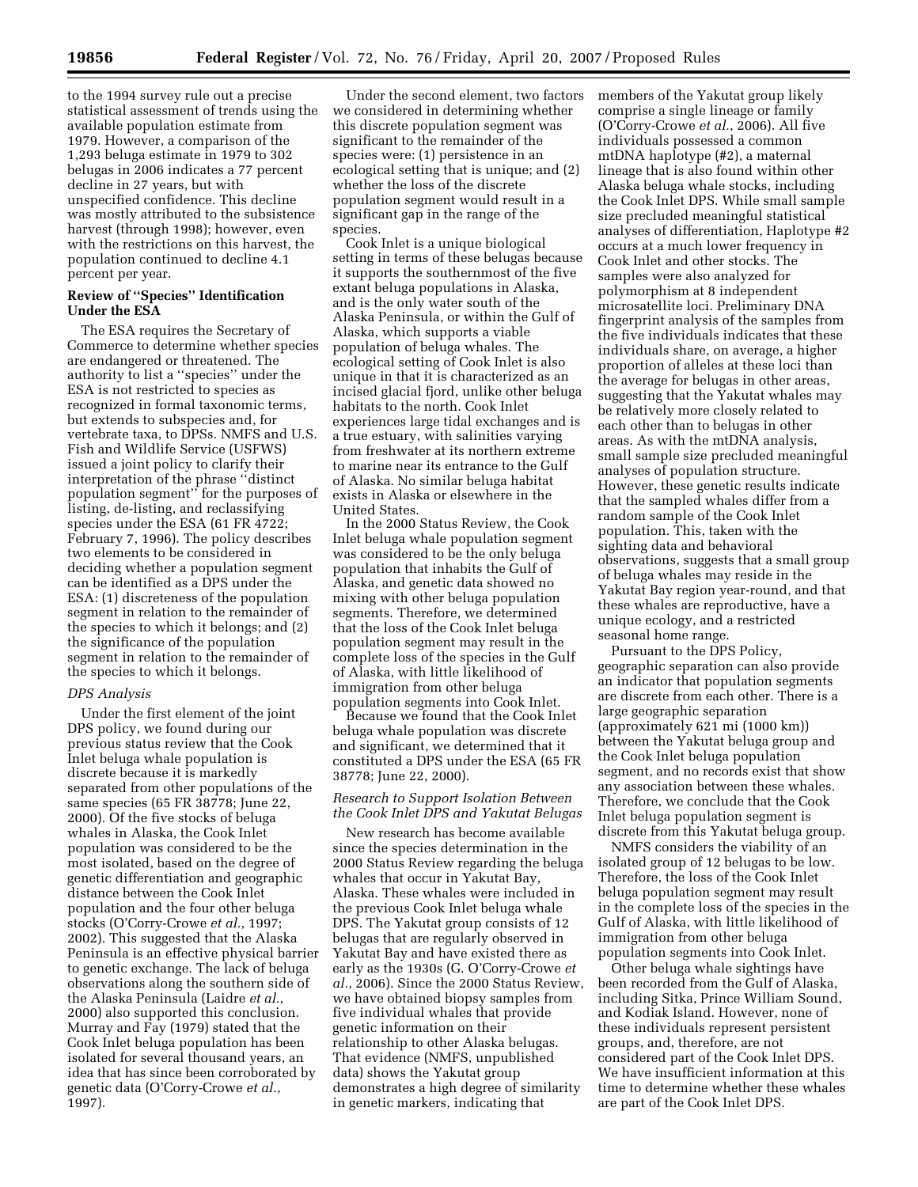to the 1994 survey rule out a precise statistical assessment of trends using the available population estimate from 1979. However, a comparison of the 1,293 beluga estimate in 1979 to 302 belugas in 2006 indicates a 77 percent decline in 27 years, but with unspecified confidence. This decline was mostly attributed to the subsistence harvest (through 1998); however, even with the restrictions on this harvest, the population continued to decline 4.1 percent per year.

# **Review of ''Species'' Identification Under the ESA**

The ESA requires the Secretary of Commerce to determine whether species are endangered or threatened. The authority to list a ''species'' under the ESA is not restricted to species as recognized in formal taxonomic terms, but extends to subspecies and, for vertebrate taxa, to DPSs. NMFS and U.S. Fish and Wildlife Service (USFWS) issued a joint policy to clarify their interpretation of the phrase ''distinct population segment'' for the purposes of listing, de-listing, and reclassifying species under the ESA (61 FR 4722; February 7, 1996). The policy describes two elements to be considered in deciding whether a population segment can be identified as a DPS under the ESA: (1) discreteness of the population segment in relation to the remainder of the species to which it belongs; and (2) the significance of the population segment in relation to the remainder of the species to which it belongs.

# *DPS Analysis*

Under the first element of the joint DPS policy, we found during our previous status review that the Cook Inlet beluga whale population is discrete because it is markedly separated from other populations of the same species (65 FR 38778; June 22, 2000). Of the five stocks of beluga whales in Alaska, the Cook Inlet population was considered to be the most isolated, based on the degree of genetic differentiation and geographic distance between the Cook Inlet population and the four other beluga stocks (O'Corry-Crowe *et al.*, 1997; 2002). This suggested that the Alaska Peninsula is an effective physical barrier to genetic exchange. The lack of beluga observations along the southern side of the Alaska Peninsula (Laidre *et al.*, 2000) also supported this conclusion. Murray and Fay (1979) stated that the Cook Inlet beluga population has been isolated for several thousand years, an idea that has since been corroborated by genetic data (O'Corry-Crowe *et al.*, 1997).

Under the second element, two factors we considered in determining whether this discrete population segment was significant to the remainder of the species were: (1) persistence in an ecological setting that is unique; and (2) whether the loss of the discrete population segment would result in a significant gap in the range of the species.

Cook Inlet is a unique biological setting in terms of these belugas because it supports the southernmost of the five extant beluga populations in Alaska, and is the only water south of the Alaska Peninsula, or within the Gulf of Alaska, which supports a viable population of beluga whales. The ecological setting of Cook Inlet is also unique in that it is characterized as an incised glacial fjord, unlike other beluga habitats to the north. Cook Inlet experiences large tidal exchanges and is a true estuary, with salinities varying from freshwater at its northern extreme to marine near its entrance to the Gulf of Alaska. No similar beluga habitat exists in Alaska or elsewhere in the United States.

In the 2000 Status Review, the Cook Inlet beluga whale population segment was considered to be the only beluga population that inhabits the Gulf of Alaska, and genetic data showed no mixing with other beluga population segments. Therefore, we determined that the loss of the Cook Inlet beluga population segment may result in the complete loss of the species in the Gulf of Alaska, with little likelihood of immigration from other beluga population segments into Cook Inlet.

Because we found that the Cook Inlet beluga whale population was discrete and significant, we determined that it constituted a DPS under the ESA (65 FR 38778; June 22, 2000).

# *Research to Support Isolation Between the Cook Inlet DPS and Yakutat Belugas*

New research has become available since the species determination in the 2000 Status Review regarding the beluga whales that occur in Yakutat Bay, Alaska. These whales were included in the previous Cook Inlet beluga whale DPS. The Yakutat group consists of 12 belugas that are regularly observed in Yakutat Bay and have existed there as early as the 1930s (G. O'Corry-Crowe *et al.*, 2006). Since the 2000 Status Review, we have obtained biopsy samples from five individual whales that provide genetic information on their relationship to other Alaska belugas. That evidence (NMFS, unpublished data) shows the Yakutat group demonstrates a high degree of similarity in genetic markers, indicating that

members of the Yakutat group likely comprise a single lineage or family (O'Corry-Crowe *et al.*, 2006). All five individuals possessed a common mtDNA haplotype (#2), a maternal lineage that is also found within other Alaska beluga whale stocks, including the Cook Inlet DPS. While small sample size precluded meaningful statistical analyses of differentiation, Haplotype #2 occurs at a much lower frequency in Cook Inlet and other stocks. The samples were also analyzed for polymorphism at 8 independent microsatellite loci. Preliminary DNA fingerprint analysis of the samples from the five individuals indicates that these individuals share, on average, a higher proportion of alleles at these loci than the average for belugas in other areas, suggesting that the Yakutat whales may be relatively more closely related to each other than to belugas in other areas. As with the mtDNA analysis, small sample size precluded meaningful analyses of population structure. However, these genetic results indicate that the sampled whales differ from a random sample of the Cook Inlet population. This, taken with the sighting data and behavioral observations, suggests that a small group of beluga whales may reside in the Yakutat Bay region year-round, and that these whales are reproductive, have a unique ecology, and a restricted seasonal home range.

Pursuant to the DPS Policy, geographic separation can also provide an indicator that population segments are discrete from each other. There is a large geographic separation (approximately 621 mi (1000 km)) between the Yakutat beluga group and the Cook Inlet beluga population segment, and no records exist that show any association between these whales. Therefore, we conclude that the Cook Inlet beluga population segment is discrete from this Yakutat beluga group.

NMFS considers the viability of an isolated group of 12 belugas to be low. Therefore, the loss of the Cook Inlet beluga population segment may result in the complete loss of the species in the Gulf of Alaska, with little likelihood of immigration from other beluga population segments into Cook Inlet.

Other beluga whale sightings have been recorded from the Gulf of Alaska, including Sitka, Prince William Sound, and Kodiak Island. However, none of these individuals represent persistent groups, and, therefore, are not considered part of the Cook Inlet DPS. We have insufficient information at this time to determine whether these whales are part of the Cook Inlet DPS.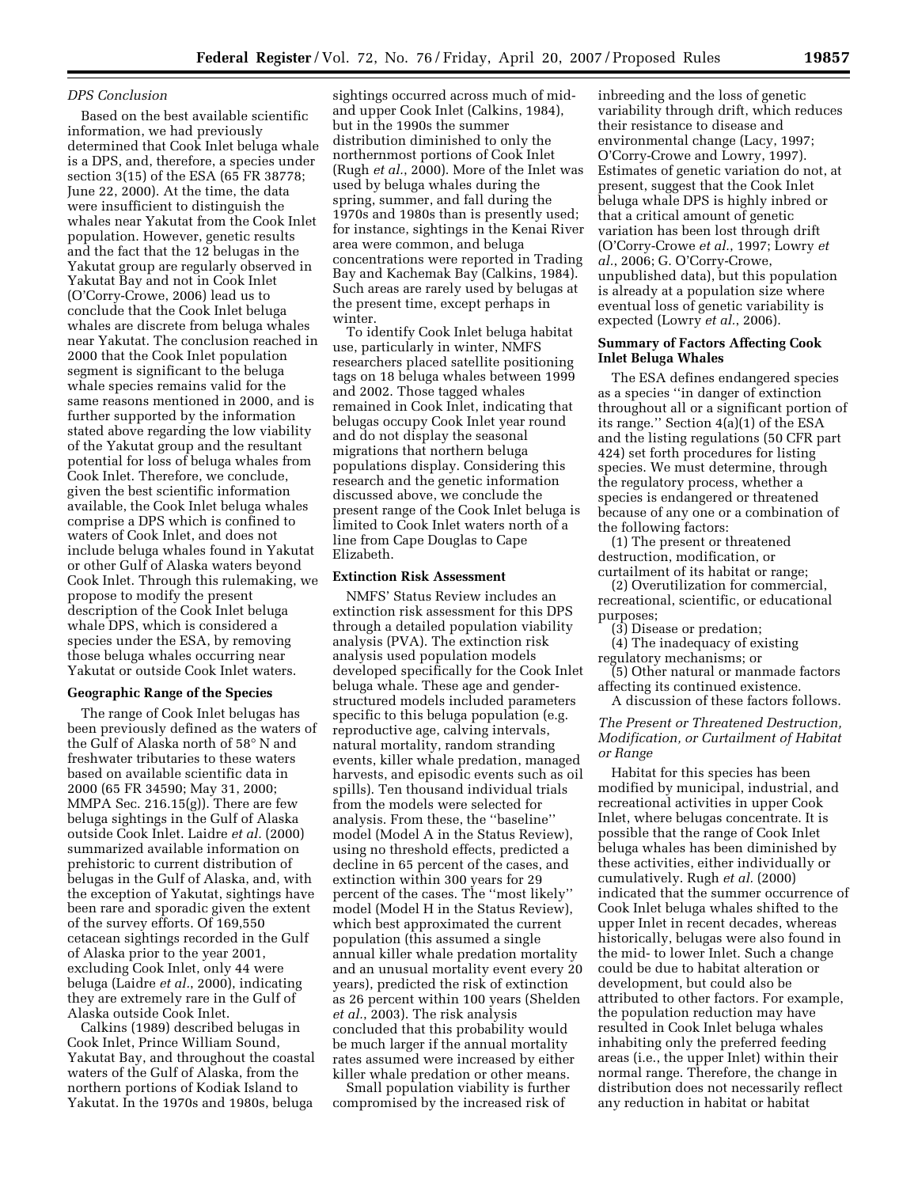#### *DPS Conclusion*

Based on the best available scientific information, we had previously determined that Cook Inlet beluga whale is a DPS, and, therefore, a species under section 3(15) of the ESA (65 FR 38778; June 22, 2000). At the time, the data were insufficient to distinguish the whales near Yakutat from the Cook Inlet population. However, genetic results and the fact that the 12 belugas in the Yakutat group are regularly observed in Yakutat Bay and not in Cook Inlet (O'Corry-Crowe, 2006) lead us to conclude that the Cook Inlet beluga whales are discrete from beluga whales near Yakutat. The conclusion reached in 2000 that the Cook Inlet population segment is significant to the beluga whale species remains valid for the same reasons mentioned in 2000, and is further supported by the information stated above regarding the low viability of the Yakutat group and the resultant potential for loss of beluga whales from Cook Inlet. Therefore, we conclude, given the best scientific information available, the Cook Inlet beluga whales comprise a DPS which is confined to waters of Cook Inlet, and does not include beluga whales found in Yakutat or other Gulf of Alaska waters beyond Cook Inlet. Through this rulemaking, we propose to modify the present description of the Cook Inlet beluga whale DPS, which is considered a species under the ESA, by removing those beluga whales occurring near Yakutat or outside Cook Inlet waters.

## **Geographic Range of the Species**

The range of Cook Inlet belugas has been previously defined as the waters of the Gulf of Alaska north of 58° N and freshwater tributaries to these waters based on available scientific data in 2000 (65 FR 34590; May 31, 2000; MMPA Sec. 216.15(g)). There are few beluga sightings in the Gulf of Alaska outside Cook Inlet. Laidre *et al.* (2000) summarized available information on prehistoric to current distribution of belugas in the Gulf of Alaska, and, with the exception of Yakutat, sightings have been rare and sporadic given the extent of the survey efforts. Of 169,550 cetacean sightings recorded in the Gulf of Alaska prior to the year 2001, excluding Cook Inlet, only 44 were beluga (Laidre *et al.*, 2000), indicating they are extremely rare in the Gulf of Alaska outside Cook Inlet.

Calkins (1989) described belugas in Cook Inlet, Prince William Sound, Yakutat Bay, and throughout the coastal waters of the Gulf of Alaska, from the northern portions of Kodiak Island to Yakutat. In the 1970s and 1980s, beluga

sightings occurred across much of midand upper Cook Inlet (Calkins, 1984), but in the 1990s the summer distribution diminished to only the northernmost portions of Cook Inlet (Rugh *et al.*, 2000). More of the Inlet was used by beluga whales during the spring, summer, and fall during the 1970s and 1980s than is presently used; for instance, sightings in the Kenai River area were common, and beluga concentrations were reported in Trading Bay and Kachemak Bay (Calkins, 1984). Such areas are rarely used by belugas at the present time, except perhaps in winter.

To identify Cook Inlet beluga habitat use, particularly in winter, NMFS researchers placed satellite positioning tags on 18 beluga whales between 1999 and 2002. Those tagged whales remained in Cook Inlet, indicating that belugas occupy Cook Inlet year round and do not display the seasonal migrations that northern beluga populations display. Considering this research and the genetic information discussed above, we conclude the present range of the Cook Inlet beluga is limited to Cook Inlet waters north of a line from Cape Douglas to Cape Elizabeth.

#### **Extinction Risk Assessment**

NMFS' Status Review includes an extinction risk assessment for this DPS through a detailed population viability analysis (PVA). The extinction risk analysis used population models developed specifically for the Cook Inlet beluga whale. These age and genderstructured models included parameters specific to this beluga population (e.g. reproductive age, calving intervals, natural mortality, random stranding events, killer whale predation, managed harvests, and episodic events such as oil spills). Ten thousand individual trials from the models were selected for analysis. From these, the ''baseline'' model (Model A in the Status Review), using no threshold effects, predicted a decline in 65 percent of the cases, and extinction within 300 years for 29 percent of the cases. The ''most likely'' model (Model H in the Status Review), which best approximated the current population (this assumed a single annual killer whale predation mortality and an unusual mortality event every 20 years), predicted the risk of extinction as 26 percent within 100 years (Shelden *et al.*, 2003). The risk analysis concluded that this probability would be much larger if the annual mortality rates assumed were increased by either killer whale predation or other means.

Small population viability is further compromised by the increased risk of

inbreeding and the loss of genetic variability through drift, which reduces their resistance to disease and environmental change (Lacy, 1997; O'Corry-Crowe and Lowry, 1997). Estimates of genetic variation do not, at present, suggest that the Cook Inlet beluga whale DPS is highly inbred or that a critical amount of genetic variation has been lost through drift (O'Corry-Crowe *et al.*, 1997; Lowry *et al.*, 2006; G. O'Corry-Crowe, unpublished data), but this population is already at a population size where eventual loss of genetic variability is expected (Lowry *et al.*, 2006).

#### **Summary of Factors Affecting Cook Inlet Beluga Whales**

The ESA defines endangered species as a species ''in danger of extinction throughout all or a significant portion of its range.'' Section 4(a)(1) of the ESA and the listing regulations (50 CFR part 424) set forth procedures for listing species. We must determine, through the regulatory process, whether a species is endangered or threatened because of any one or a combination of the following factors:

(1) The present or threatened destruction, modification, or curtailment of its habitat or range;

(2) Overutilization for commercial, recreational, scientific, or educational purposes;

(3) Disease or predation;

(4) The inadequacy of existing regulatory mechanisms; or

(5) Other natural or manmade factors affecting its continued existence.

A discussion of these factors follows.

*The Present or Threatened Destruction, Modification, or Curtailment of Habitat or Range* 

Habitat for this species has been modified by municipal, industrial, and recreational activities in upper Cook Inlet, where belugas concentrate. It is possible that the range of Cook Inlet beluga whales has been diminished by these activities, either individually or cumulatively. Rugh *et al.* (2000) indicated that the summer occurrence of Cook Inlet beluga whales shifted to the upper Inlet in recent decades, whereas historically, belugas were also found in the mid- to lower Inlet. Such a change could be due to habitat alteration or development, but could also be attributed to other factors. For example, the population reduction may have resulted in Cook Inlet beluga whales inhabiting only the preferred feeding areas (i.e., the upper Inlet) within their normal range. Therefore, the change in distribution does not necessarily reflect any reduction in habitat or habitat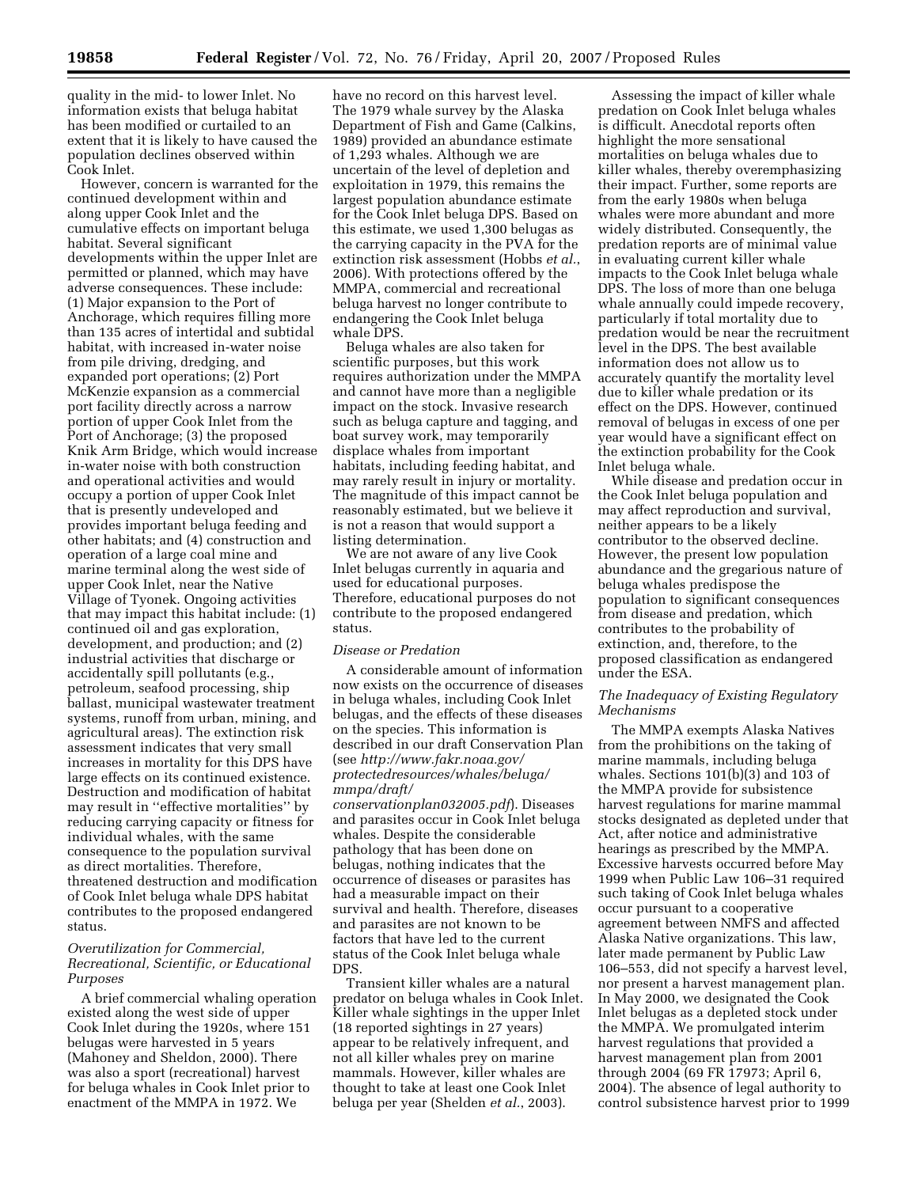quality in the mid- to lower Inlet. No information exists that beluga habitat has been modified or curtailed to an extent that it is likely to have caused the population declines observed within Cook Inlet.

However, concern is warranted for the continued development within and along upper Cook Inlet and the cumulative effects on important beluga habitat. Several significant developments within the upper Inlet are permitted or planned, which may have adverse consequences. These include: (1) Major expansion to the Port of Anchorage, which requires filling more than 135 acres of intertidal and subtidal habitat, with increased in-water noise from pile driving, dredging, and expanded port operations; (2) Port McKenzie expansion as a commercial port facility directly across a narrow portion of upper Cook Inlet from the Port of Anchorage; (3) the proposed Knik Arm Bridge, which would increase in-water noise with both construction and operational activities and would occupy a portion of upper Cook Inlet that is presently undeveloped and provides important beluga feeding and other habitats; and (4) construction and operation of a large coal mine and marine terminal along the west side of upper Cook Inlet, near the Native Village of Tyonek. Ongoing activities that may impact this habitat include: (1) continued oil and gas exploration, development, and production; and (2) industrial activities that discharge or accidentally spill pollutants (e.g., petroleum, seafood processing, ship ballast, municipal wastewater treatment systems, runoff from urban, mining, and agricultural areas). The extinction risk assessment indicates that very small increases in mortality for this DPS have large effects on its continued existence. Destruction and modification of habitat may result in ''effective mortalities'' by reducing carrying capacity or fitness for individual whales, with the same consequence to the population survival as direct mortalities. Therefore, threatened destruction and modification of Cook Inlet beluga whale DPS habitat contributes to the proposed endangered status.

## *Overutilization for Commercial, Recreational, Scientific, or Educational Purposes*

A brief commercial whaling operation existed along the west side of upper Cook Inlet during the 1920s, where 151 belugas were harvested in 5 years (Mahoney and Sheldon, 2000). There was also a sport (recreational) harvest for beluga whales in Cook Inlet prior to enactment of the MMPA in 1972. We

have no record on this harvest level. The 1979 whale survey by the Alaska Department of Fish and Game (Calkins, 1989) provided an abundance estimate of 1,293 whales. Although we are uncertain of the level of depletion and exploitation in 1979, this remains the largest population abundance estimate for the Cook Inlet beluga DPS. Based on this estimate, we used 1,300 belugas as the carrying capacity in the PVA for the extinction risk assessment (Hobbs *et al.*, 2006). With protections offered by the MMPA, commercial and recreational beluga harvest no longer contribute to endangering the Cook Inlet beluga whale DPS.

Beluga whales are also taken for scientific purposes, but this work requires authorization under the MMPA and cannot have more than a negligible impact on the stock. Invasive research such as beluga capture and tagging, and boat survey work, may temporarily displace whales from important habitats, including feeding habitat, and may rarely result in injury or mortality. The magnitude of this impact cannot be reasonably estimated, but we believe it is not a reason that would support a listing determination.

We are not aware of any live Cook Inlet belugas currently in aquaria and used for educational purposes. Therefore, educational purposes do not contribute to the proposed endangered status.

## *Disease or Predation*

A considerable amount of information now exists on the occurrence of diseases in beluga whales, including Cook Inlet belugas, and the effects of these diseases on the species. This information is described in our draft Conservation Plan (see *http://www.fakr.noaa.gov/ [protectedresources/whales/beluga/](http://www.fakr.noaa.gov/protectedresources/whales/beluga/mmpa/draft/conservationplan032005.pdf)  mmpa/draft/* 

*conservationplan032005.pdf*). Diseases and parasites occur in Cook Inlet beluga whales. Despite the considerable pathology that has been done on belugas, nothing indicates that the occurrence of diseases or parasites has had a measurable impact on their survival and health. Therefore, diseases and parasites are not known to be factors that have led to the current status of the Cook Inlet beluga whale DPS.

Transient killer whales are a natural predator on beluga whales in Cook Inlet. Killer whale sightings in the upper Inlet (18 reported sightings in 27 years) appear to be relatively infrequent, and not all killer whales prey on marine mammals. However, killer whales are thought to take at least one Cook Inlet beluga per year (Shelden *et al.*, 2003).

Assessing the impact of killer whale predation on Cook Inlet beluga whales is difficult. Anecdotal reports often highlight the more sensational mortalities on beluga whales due to killer whales, thereby overemphasizing their impact. Further, some reports are from the early 1980s when beluga whales were more abundant and more widely distributed. Consequently, the predation reports are of minimal value in evaluating current killer whale impacts to the Cook Inlet beluga whale DPS. The loss of more than one beluga whale annually could impede recovery, particularly if total mortality due to predation would be near the recruitment level in the DPS. The best available information does not allow us to accurately quantify the mortality level due to killer whale predation or its effect on the DPS. However, continued removal of belugas in excess of one per year would have a significant effect on the extinction probability for the Cook Inlet beluga whale.

While disease and predation occur in the Cook Inlet beluga population and may affect reproduction and survival, neither appears to be a likely contributor to the observed decline. However, the present low population abundance and the gregarious nature of beluga whales predispose the population to significant consequences from disease and predation, which contributes to the probability of extinction, and, therefore, to the proposed classification as endangered under the ESA.

## *The Inadequacy of Existing Regulatory Mechanisms*

The MMPA exempts Alaska Natives from the prohibitions on the taking of marine mammals, including beluga whales. Sections 101(b)(3) and 103 of the MMPA provide for subsistence harvest regulations for marine mammal stocks designated as depleted under that Act, after notice and administrative hearings as prescribed by the MMPA. Excessive harvests occurred before May 1999 when Public Law 106–31 required such taking of Cook Inlet beluga whales occur pursuant to a cooperative agreement between NMFS and affected Alaska Native organizations. This law, later made permanent by Public Law 106–553, did not specify a harvest level, nor present a harvest management plan. In May 2000, we designated the Cook Inlet belugas as a depleted stock under the MMPA. We promulgated interim harvest regulations that provided a harvest management plan from 2001 through 2004 (69 FR 17973; April 6, 2004). The absence of legal authority to control subsistence harvest prior to 1999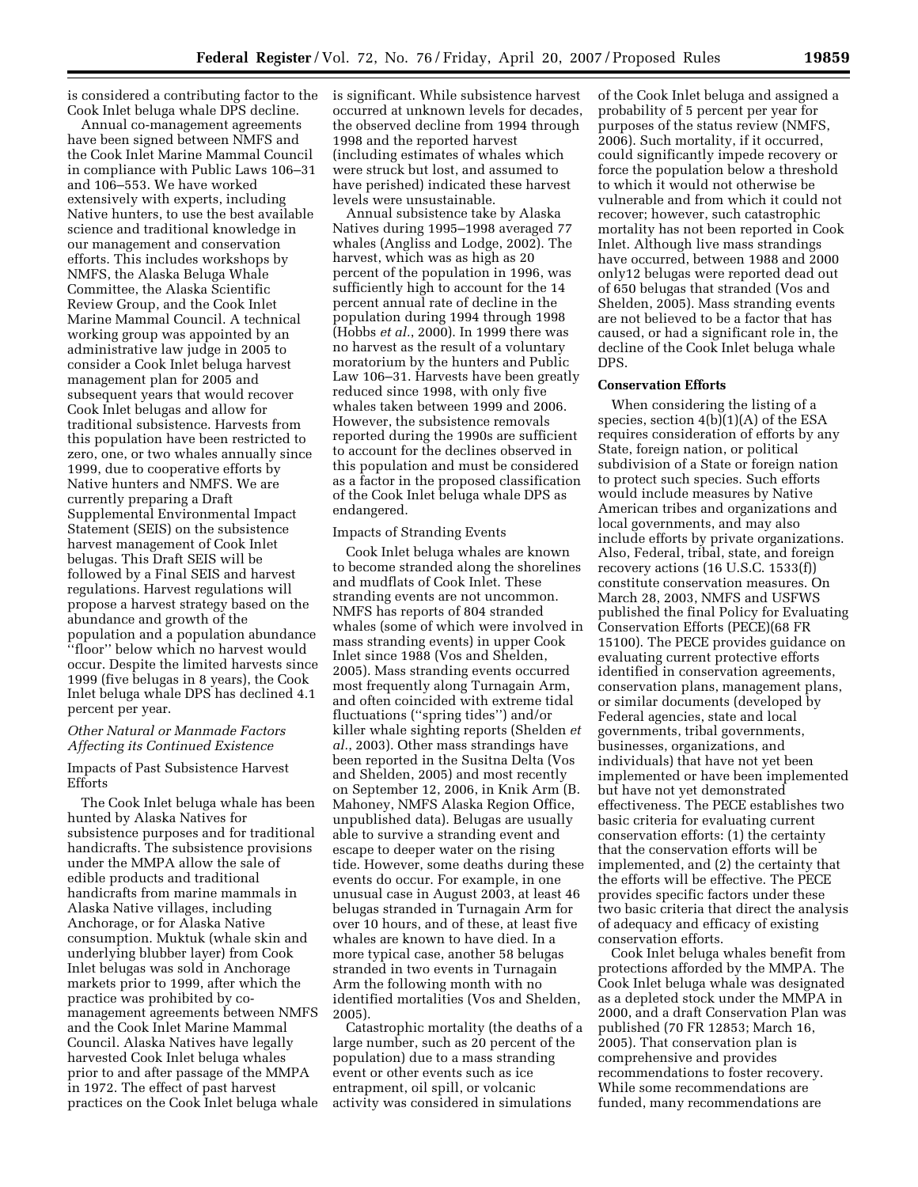is considered a contributing factor to the Cook Inlet beluga whale DPS decline.

Annual co-management agreements have been signed between NMFS and the Cook Inlet Marine Mammal Council in compliance with Public Laws 106–31 and 106–553. We have worked extensively with experts, including Native hunters, to use the best available science and traditional knowledge in our management and conservation efforts. This includes workshops by NMFS, the Alaska Beluga Whale Committee, the Alaska Scientific Review Group, and the Cook Inlet Marine Mammal Council. A technical working group was appointed by an administrative law judge in 2005 to consider a Cook Inlet beluga harvest management plan for 2005 and subsequent years that would recover Cook Inlet belugas and allow for traditional subsistence. Harvests from this population have been restricted to zero, one, or two whales annually since 1999, due to cooperative efforts by Native hunters and NMFS. We are currently preparing a Draft Supplemental Environmental Impact Statement (SEIS) on the subsistence harvest management of Cook Inlet belugas. This Draft SEIS will be followed by a Final SEIS and harvest regulations. Harvest regulations will propose a harvest strategy based on the abundance and growth of the population and a population abundance ''floor'' below which no harvest would occur. Despite the limited harvests since 1999 (five belugas in 8 years), the Cook Inlet beluga whale DPS has declined 4.1 percent per year.

## *Other Natural or Manmade Factors Affecting its Continued Existence*

Impacts of Past Subsistence Harvest Efforts

The Cook Inlet beluga whale has been hunted by Alaska Natives for subsistence purposes and for traditional handicrafts. The subsistence provisions under the MMPA allow the sale of edible products and traditional handicrafts from marine mammals in Alaska Native villages, including Anchorage, or for Alaska Native consumption. Muktuk (whale skin and underlying blubber layer) from Cook Inlet belugas was sold in Anchorage markets prior to 1999, after which the practice was prohibited by comanagement agreements between NMFS and the Cook Inlet Marine Mammal Council. Alaska Natives have legally harvested Cook Inlet beluga whales prior to and after passage of the MMPA in 1972. The effect of past harvest practices on the Cook Inlet beluga whale is significant. While subsistence harvest occurred at unknown levels for decades, the observed decline from 1994 through 1998 and the reported harvest (including estimates of whales which were struck but lost, and assumed to have perished) indicated these harvest levels were unsustainable.

Annual subsistence take by Alaska Natives during 1995–1998 averaged 77 whales (Angliss and Lodge, 2002). The harvest, which was as high as 20 percent of the population in 1996, was sufficiently high to account for the 14 percent annual rate of decline in the population during 1994 through 1998 (Hobbs *et al.*, 2000). In 1999 there was no harvest as the result of a voluntary moratorium by the hunters and Public Law 106–31. Harvests have been greatly reduced since 1998, with only five whales taken between 1999 and 2006. However, the subsistence removals reported during the 1990s are sufficient to account for the declines observed in this population and must be considered as a factor in the proposed classification of the Cook Inlet beluga whale DPS as endangered.

#### Impacts of Stranding Events

Cook Inlet beluga whales are known to become stranded along the shorelines and mudflats of Cook Inlet. These stranding events are not uncommon. NMFS has reports of 804 stranded whales (some of which were involved in mass stranding events) in upper Cook Inlet since 1988 (Vos and Shelden, 2005). Mass stranding events occurred most frequently along Turnagain Arm, and often coincided with extreme tidal fluctuations (''spring tides'') and/or killer whale sighting reports (Shelden *et al.*, 2003). Other mass strandings have been reported in the Susitna Delta (Vos and Shelden, 2005) and most recently on September 12, 2006, in Knik Arm (B. Mahoney, NMFS Alaska Region Office, unpublished data). Belugas are usually able to survive a stranding event and escape to deeper water on the rising tide. However, some deaths during these events do occur. For example, in one unusual case in August 2003, at least 46 belugas stranded in Turnagain Arm for over 10 hours, and of these, at least five whales are known to have died. In a more typical case, another 58 belugas stranded in two events in Turnagain Arm the following month with no identified mortalities (Vos and Shelden, 2005).

Catastrophic mortality (the deaths of a large number, such as 20 percent of the population) due to a mass stranding event or other events such as ice entrapment, oil spill, or volcanic activity was considered in simulations

of the Cook Inlet beluga and assigned a probability of 5 percent per year for purposes of the status review (NMFS, 2006). Such mortality, if it occurred, could significantly impede recovery or force the population below a threshold to which it would not otherwise be vulnerable and from which it could not recover; however, such catastrophic mortality has not been reported in Cook Inlet. Although live mass strandings have occurred, between 1988 and 2000 only12 belugas were reported dead out of 650 belugas that stranded (Vos and Shelden, 2005). Mass stranding events are not believed to be a factor that has caused, or had a significant role in, the decline of the Cook Inlet beluga whale DPS.

## **Conservation Efforts**

When considering the listing of a species, section  $4(b)(1)(A)$  of the ESA requires consideration of efforts by any State, foreign nation, or political subdivision of a State or foreign nation to protect such species. Such efforts would include measures by Native American tribes and organizations and local governments, and may also include efforts by private organizations. Also, Federal, tribal, state, and foreign recovery actions (16 U.S.C. 1533(f)) constitute conservation measures. On March 28, 2003, NMFS and USFWS published the final Policy for Evaluating Conservation Efforts (PECE)(68 FR 15100). The PECE provides guidance on evaluating current protective efforts identified in conservation agreements, conservation plans, management plans, or similar documents (developed by Federal agencies, state and local governments, tribal governments, businesses, organizations, and individuals) that have not yet been implemented or have been implemented but have not yet demonstrated effectiveness. The PECE establishes two basic criteria for evaluating current conservation efforts: (1) the certainty that the conservation efforts will be implemented, and (2) the certainty that the efforts will be effective. The PECE provides specific factors under these two basic criteria that direct the analysis of adequacy and efficacy of existing conservation efforts.

Cook Inlet beluga whales benefit from protections afforded by the MMPA. The Cook Inlet beluga whale was designated as a depleted stock under the MMPA in 2000, and a draft Conservation Plan was published (70 FR 12853; March 16, 2005). That conservation plan is comprehensive and provides recommendations to foster recovery. While some recommendations are funded, many recommendations are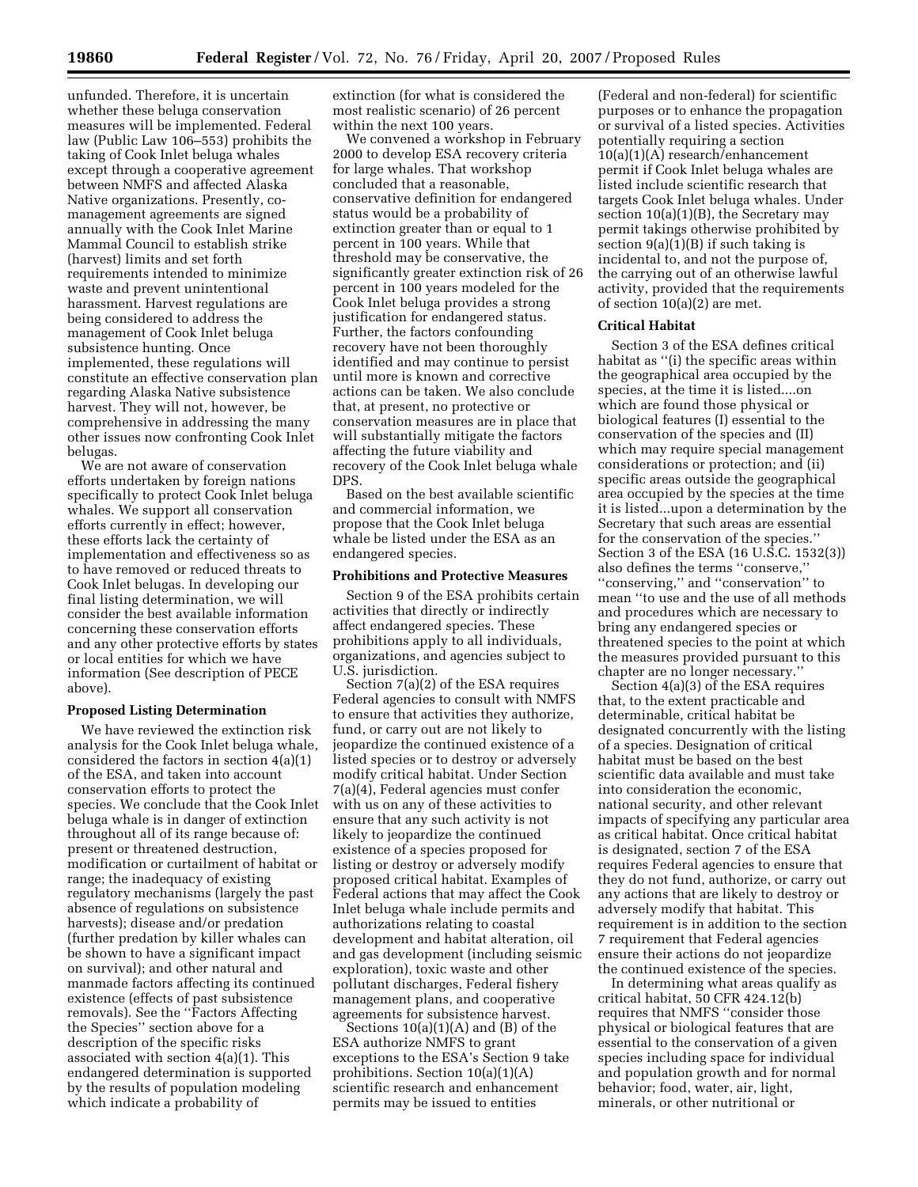unfunded. Therefore, it is uncertain whether these beluga conservation measures will be implemented. Federal law (Public Law 106–553) prohibits the taking of Cook Inlet beluga whales except through a cooperative agreement between NMFS and affected Alaska Native organizations. Presently, comanagement agreements are signed annually with the Cook Inlet Marine Mammal Council to establish strike (harvest) limits and set forth requirements intended to minimize waste and prevent unintentional harassment. Harvest regulations are being considered to address the management of Cook Inlet beluga subsistence hunting. Once implemented, these regulations will constitute an effective conservation plan regarding Alaska Native subsistence harvest. They will not, however, be comprehensive in addressing the many other issues now confronting Cook Inlet belugas.

We are not aware of conservation efforts undertaken by foreign nations specifically to protect Cook Inlet beluga whales. We support all conservation efforts currently in effect; however, these efforts lack the certainty of implementation and effectiveness so as to have removed or reduced threats to Cook Inlet belugas. In developing our final listing determination, we will consider the best available information concerning these conservation efforts and any other protective efforts by states or local entities for which we have information (See description of PECE above).

#### **Proposed Listing Determination**

We have reviewed the extinction risk analysis for the Cook Inlet beluga whale, considered the factors in section 4(a)(1) of the ESA, and taken into account conservation efforts to protect the species. We conclude that the Cook Inlet beluga whale is in danger of extinction throughout all of its range because of: present or threatened destruction, modification or curtailment of habitat or range; the inadequacy of existing regulatory mechanisms (largely the past absence of regulations on subsistence harvests); disease and/or predation (further predation by killer whales can be shown to have a significant impact on survival); and other natural and manmade factors affecting its continued existence (effects of past subsistence removals). See the ''Factors Affecting the Species'' section above for a description of the specific risks associated with section 4(a)(1). This endangered determination is supported by the results of population modeling which indicate a probability of

extinction (for what is considered the most realistic scenario) of 26 percent within the next 100 years.

We convened a workshop in February 2000 to develop ESA recovery criteria for large whales. That workshop concluded that a reasonable, conservative definition for endangered status would be a probability of extinction greater than or equal to 1 percent in 100 years. While that threshold may be conservative, the significantly greater extinction risk of 26 percent in 100 years modeled for the Cook Inlet beluga provides a strong justification for endangered status. Further, the factors confounding recovery have not been thoroughly identified and may continue to persist until more is known and corrective actions can be taken. We also conclude that, at present, no protective or conservation measures are in place that will substantially mitigate the factors affecting the future viability and recovery of the Cook Inlet beluga whale DPS.

Based on the best available scientific and commercial information, we propose that the Cook Inlet beluga whale be listed under the ESA as an endangered species.

#### **Prohibitions and Protective Measures**

Section 9 of the ESA prohibits certain activities that directly or indirectly affect endangered species. These prohibitions apply to all individuals, organizations, and agencies subject to U.S. jurisdiction.

Section 7(a)(2) of the ESA requires Federal agencies to consult with NMFS to ensure that activities they authorize, fund, or carry out are not likely to jeopardize the continued existence of a listed species or to destroy or adversely modify critical habitat. Under Section 7(a)(4), Federal agencies must confer with us on any of these activities to ensure that any such activity is not likely to jeopardize the continued existence of a species proposed for listing or destroy or adversely modify proposed critical habitat. Examples of Federal actions that may affect the Cook Inlet beluga whale include permits and authorizations relating to coastal development and habitat alteration, oil and gas development (including seismic exploration), toxic waste and other pollutant discharges, Federal fishery management plans, and cooperative agreements for subsistence harvest.

Sections 10(a)(1)(A) and (B) of the ESA authorize NMFS to grant exceptions to the ESA's Section 9 take prohibitions. Section 10(a)(1)(A) scientific research and enhancement permits may be issued to entities

(Federal and non-federal) for scientific purposes or to enhance the propagation or survival of a listed species. Activities potentially requiring a section 10(a)(1)(A) research/enhancement permit if Cook Inlet beluga whales are listed include scientific research that targets Cook Inlet beluga whales. Under section 10(a)(1)(B), the Secretary may permit takings otherwise prohibited by section  $9(a)(1)(B)$  if such taking is incidental to, and not the purpose of, the carrying out of an otherwise lawful activity, provided that the requirements of section 10(a)(2) are met.

#### **Critical Habitat**

Section 3 of the ESA defines critical habitat as "(i) the specific areas within the geographical area occupied by the species, at the time it is listed....on which are found those physical or biological features (I) essential to the conservation of the species and (II) which may require special management considerations or protection; and (ii) specific areas outside the geographical area occupied by the species at the time it is listed...upon a determination by the Secretary that such areas are essential for the conservation of the species.'' Section 3 of the ESA (16 U.S.C. 1532(3)) also defines the terms ''conserve,'' ''conserving,'' and ''conservation'' to mean ''to use and the use of all methods and procedures which are necessary to bring any endangered species or threatened species to the point at which the measures provided pursuant to this chapter are no longer necessary.''

Section 4(a)(3) of the ESA requires that, to the extent practicable and determinable, critical habitat be designated concurrently with the listing of a species. Designation of critical habitat must be based on the best scientific data available and must take into consideration the economic, national security, and other relevant impacts of specifying any particular area as critical habitat. Once critical habitat is designated, section 7 of the ESA requires Federal agencies to ensure that they do not fund, authorize, or carry out any actions that are likely to destroy or adversely modify that habitat. This requirement is in addition to the section 7 requirement that Federal agencies ensure their actions do not jeopardize the continued existence of the species.

In determining what areas qualify as critical habitat, 50 CFR 424.12(b) requires that NMFS ''consider those physical or biological features that are essential to the conservation of a given species including space for individual and population growth and for normal behavior; food, water, air, light, minerals, or other nutritional or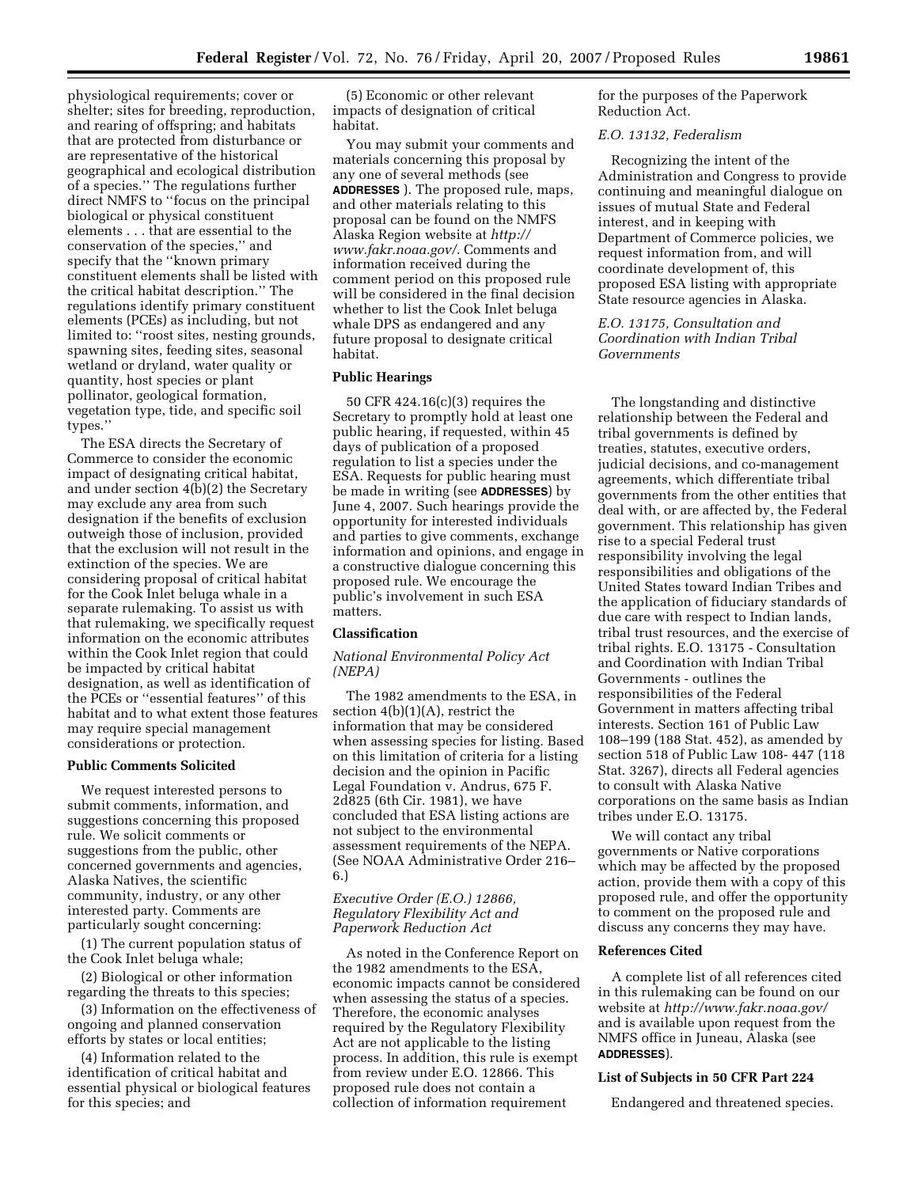physiological requirements; cover or shelter; sites for breeding, reproduction, and rearing of offspring; and habitats that are protected from disturbance or are representative of the historical geographical and ecological distribution of a species.'' The regulations further direct NMFS to ''focus on the principal biological or physical constituent elements . . . that are essential to the conservation of the species,'' and specify that the ''known primary constituent elements shall be listed with the critical habitat description.'' The regulations identify primary constituent elements (PCEs) as including, but not limited to: ''roost sites, nesting grounds, spawning sites, feeding sites, seasonal wetland or dryland, water quality or quantity, host species or plant pollinator, geological formation, vegetation type, tide, and specific soil types.''

The ESA directs the Secretary of Commerce to consider the economic impact of designating critical habitat, and under section 4(b)(2) the Secretary may exclude any area from such designation if the benefits of exclusion outweigh those of inclusion, provided that the exclusion will not result in the extinction of the species. We are considering proposal of critical habitat for the Cook Inlet beluga whale in a separate rulemaking. To assist us with that rulemaking, we specifically request information on the economic attributes within the Cook Inlet region that could be impacted by critical habitat designation, as well as identification of the PCEs or ''essential features'' of this habitat and to what extent those features may require special management considerations or protection.

#### **Public Comments Solicited**

We request interested persons to submit comments, information, and suggestions concerning this proposed rule. We solicit comments or suggestions from the public, other concerned governments and agencies, Alaska Natives, the scientific community, industry, or any other interested party. Comments are particularly sought concerning:

(1) The current population status of the Cook Inlet beluga whale;

(2) Biological or other information regarding the threats to this species;

(3) Information on the effectiveness of ongoing and planned conservation efforts by states or local entities;

(4) Information related to the identification of critical habitat and essential physical or biological features for this species; and

(5) Economic or other relevant impacts of designation of critical habitat.

You may submit your comments and materials concerning this proposal by any one of several methods (see **ADDRESSES** ). The proposed rule, maps, and other materials relating to this proposal can be found on the NMFS [Alaska Region website at](http://www.fakr.noaa.gov) *http:// www.fakr.noaa.gov/*. Comments and information received during the comment period on this proposed rule will be considered in the final decision whether to list the Cook Inlet beluga whale DPS as endangered and any future proposal to designate critical habitat.

## **Public Hearings**

50 CFR 424.16(c)(3) requires the Secretary to promptly hold at least one public hearing, if requested, within 45 days of publication of a proposed regulation to list a species under the ESA. Requests for public hearing must be made in writing (see **ADDRESSES**) by June 4, 2007. Such hearings provide the opportunity for interested individuals and parties to give comments, exchange information and opinions, and engage in a constructive dialogue concerning this proposed rule. We encourage the public's involvement in such ESA matters.

#### **Classification**

## *National Environmental Policy Act (NEPA)*

The 1982 amendments to the ESA, in section 4(b)(1)(A), restrict the information that may be considered when assessing species for listing. Based on this limitation of criteria for a listing decision and the opinion in Pacific Legal Foundation v. Andrus, 675 F. 2d825 (6th Cir. 1981), we have concluded that ESA listing actions are not subject to the environmental assessment requirements of the NEPA. (See NOAA Administrative Order 216– 6.)

## *Executive Order (E.O.) 12866, Regulatory Flexibility Act and Paperwork Reduction Act*

As noted in the Conference Report on the 1982 amendments to the ESA, economic impacts cannot be considered when assessing the status of a species. Therefore, the economic analyses required by the Regulatory Flexibility Act are not applicable to the listing process. In addition, this rule is exempt from review under E.O. 12866. This proposed rule does not contain a collection of information requirement

for the purposes of the Paperwork Reduction Act.

## *E.O. 13132, Federalism*

Recognizing the intent of the Administration and Congress to provide continuing and meaningful dialogue on issues of mutual State and Federal interest, and in keeping with Department of Commerce policies, we request information from, and will coordinate development of, this proposed ESA listing with appropriate State resource agencies in Alaska.

*E.O. 13175, Consultation and Coordination with Indian Tribal Governments* 

The longstanding and distinctive relationship between the Federal and tribal governments is defined by treaties, statutes, executive orders, judicial decisions, and co-management agreements, which differentiate tribal governments from the other entities that deal with, or are affected by, the Federal government. This relationship has given rise to a special Federal trust responsibility involving the legal responsibilities and obligations of the United States toward Indian Tribes and the application of fiduciary standards of due care with respect to Indian lands, tribal trust resources, and the exercise of tribal rights. E.O. 13175 - Consultation and Coordination with Indian Tribal Governments - outlines the responsibilities of the Federal Government in matters affecting tribal interests. Section 161 of Public Law 108–199 (188 Stat. 452), as amended by section 518 of Public Law 108- 447 (118 Stat. 3267), directs all Federal agencies to consult with Alaska Native corporations on the same basis as Indian tribes under E.O. 13175.

We will contact any tribal governments or Native corporations which may be affected by the proposed action, provide them with a copy of this proposed rule, and offer the opportunity to comment on the proposed rule and discuss any concerns they may have.

#### **References Cited**

A complete list of all references cited in this rulemaking can be found on our website at *[http://www.fakr.noaa.gov/](http://www.fakr.noaa.gov)*  and is available upon request from the NMFS office in Juneau, Alaska (see **ADDRESSES**).

## **List of Subjects in 50 CFR Part 224**

Endangered and threatened species.